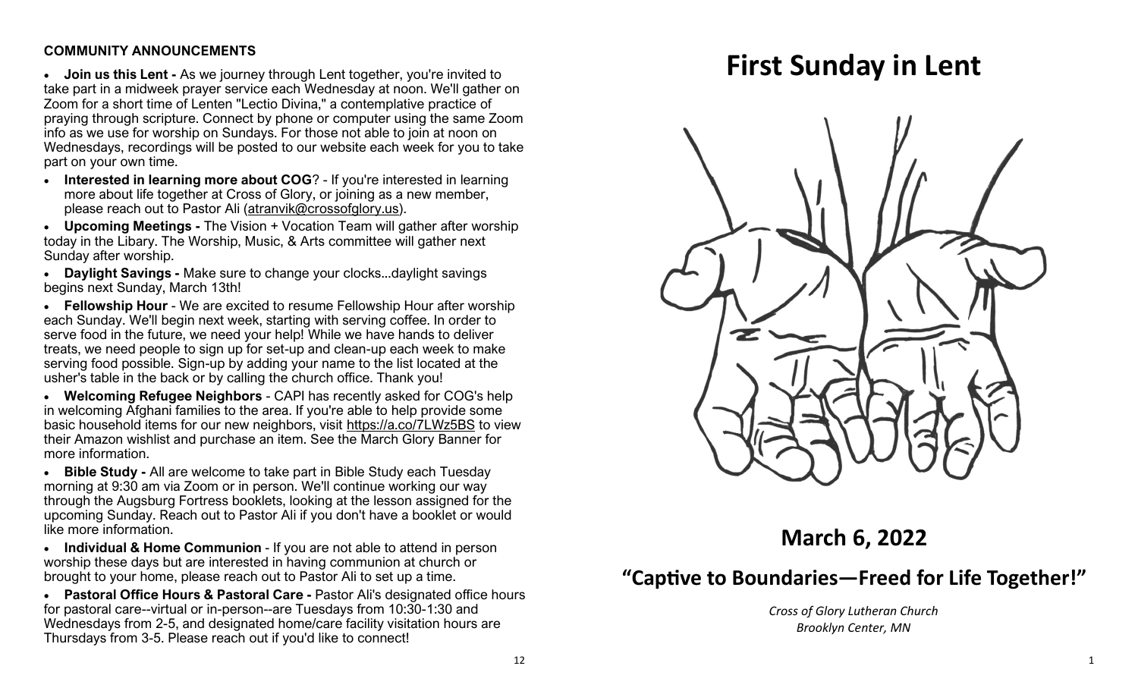#### **COMMUNITY ANNOUNCEMENTS**

• **Join us this Lent -** As we journey through Lent together, you're invited to take part in a midweek prayer service each Wednesday at noon. We'll gather on Zoom for a short time of Lenten "Lectio Divina," a contemplative practice of praying through scripture. Connect by phone or computer using the same Zoom info as we use for worship on Sundays. For those not able to join at noon on Wednesdays, recordings will be posted to our website each week for you to take part on your own time.

• **Interested in learning more about COG**? - If you're interested in learning more about life together at Cross of Glory, or joining as a new member, please reach out to Pastor Ali ([atranvik@crossofglory.us\)](mailto:atranvik@crossofglory.us).

• **Upcoming Meetings -** The Vision + Vocation Team will gather after worship today in the Libary. The Worship, Music, & Arts committee will gather next Sunday after worship.

• **Daylight Savings -** Make sure to change your clocks...daylight savings begins next Sunday, March 13th!

• **Fellowship Hour** - We are excited to resume Fellowship Hour after worship each Sunday. We'll begin next week, starting with serving coffee. In order to serve food in the future, we need your help! While we have hands to deliver treats, we need people to sign up for set-up and clean-up each week to make serving food possible. Sign-up by adding your name to the list located at the usher's table in the back or by calling the church office. Thank you!

• **Welcoming Refugee Neighbors** - CAPI has recently asked for COG's help in welcoming Afghani families to the area. If you're able to help provide some basic household items for our new neighbors, visit <https://a.co/7LWz5BS> to view their Amazon wishlist and purchase an item. See the March Glory Banner for more information.

• **Bible Study -** All are welcome to take part in Bible Study each Tuesday morning at 9:30 am via Zoom or in person. We'll continue working our way through the Augsburg Fortress booklets, looking at the lesson assigned for the upcoming Sunday. Reach out to Pastor Ali if you don't have a booklet or would like more information.

• **Individual & Home Communion** - If you are not able to attend in person worship these days but are interested in having communion at church or brought to your home, please reach out to Pastor Ali to set up a time.

• **Pastoral Office Hours & Pastoral Care -** Pastor Ali's designated office hours for pastoral care--virtual or in-person--are Tuesdays from 10:30-1:30 and Wednesdays from 2-5, and designated home/care facility visitation hours are Thursdays from 3-5. Please reach out if you'd like to connect!

# **First Sunday in Lent**



## **March 6, 2022**

## **"Captive to Boundaries—Freed for Life Together!"**

*Cross of Glory Lutheran Church Brooklyn Center, MN*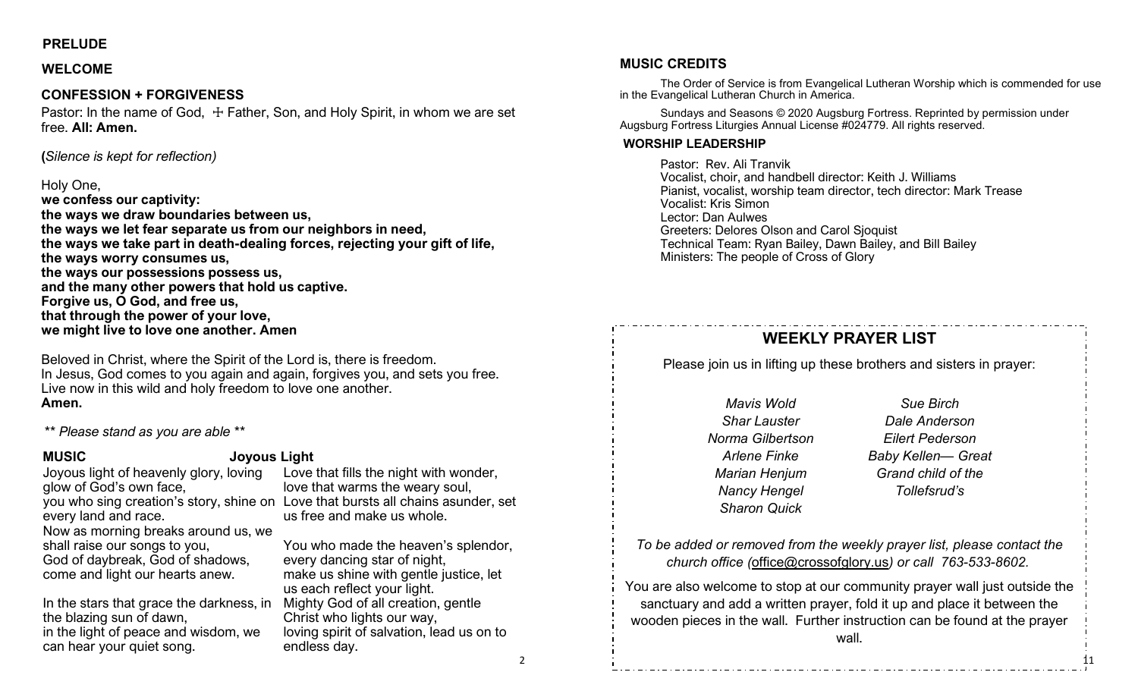#### **PRELUDE**

#### **WELCOME**

#### **CONFESSION + FORGIVENESS**

Pastor: In the name of God,  $\pm$  Father, Son, and Holy Spirit, in whom we are set free. **All: Amen.**

**(***Silence is kept for reflection)*

#### Holy One,

**we confess our captivity: the ways we draw boundaries between us, the ways we let fear separate us from our neighbors in need, the ways we take part in death-dealing forces, rejecting your gift of life, the ways worry consumes us, the ways our possessions possess us, and the many other powers that hold us captive. Forgive us, O God, and free us, that through the power of your love, we might live to love one another. Amen**

Beloved in Christ, where the Spirit of the Lord is, there is freedom. In Jesus, God comes to you again and again, forgives you, and sets you free. Live now in this wild and holy freedom to love one another. **Amen.**

*\*\* Please stand as you are able \*\**

#### **MUSIC Joyous Light**

Joyous light of heavenly glory, loving glow of God's own face, you who sing creation's story, shine on Love that bursts all chains asunder, set every land and race. Now as morning breaks around us, we shall raise our songs to you, God of daybreak, God of shadows, come and light our hearts anew. Love that fills the night with wonder,

In the stars that grace the darkness, in the blazing sun of dawn, in the light of peace and wisdom, we can hear your quiet song.

love that warms the weary soul, us free and make us whole. You who made the heaven's splendor, every dancing star of night,

make us shine with gentle justice, let us each reflect your light. Mighty God of all creation, gentle Christ who lights our way, loving spirit of salvation, lead us on to

endless day.

**MUSIC CREDITS**

The Order of Service is from Evangelical Lutheran Worship which is commended for use in the Evangelical Lutheran Church in America.

Sundays and Seasons © 2020 Augsburg Fortress. Reprinted by permission under Augsburg Fortress Liturgies Annual License #024779. All rights reserved.

#### **WORSHIP LEADERSHIP**

Pastor: Rev. Ali Tranvik Vocalist, choir, and handbell director: Keith J. Williams Pianist, vocalist, worship team director, tech director: Mark Trease Vocalist: Kris Simon Lector: Dan Aulwes Greeters: Delores Olson and Carol Sjoquist Technical Team: Ryan Bailey, Dawn Bailey, and Bill Bailey Ministers: The people of Cross of Glory

### **WEEKLY PRAYER LIST**

Please join us in lifting up these brothers and sisters in prayer:

*Mavis Wold Shar Lauster Norma Gilbertson Arlene Finke Marian Henjum Nancy Hengel Sharon Quick* 

*Sue Birch Dale Anderson Eilert Pederson Baby Kellen— Great Grand child of the Tollefsrud's*

11

*To be added or removed from the weekly prayer list, please contact the church office (*[office@crossofglory.us](mailto:office@crossofglory.us)*) or call 763-533-8602.*

You are also welcome to stop at our community prayer wall just outside the sanctuary and add a written prayer, fold it up and place it between the wooden pieces in the wall. Further instruction can be found at the prayer wall.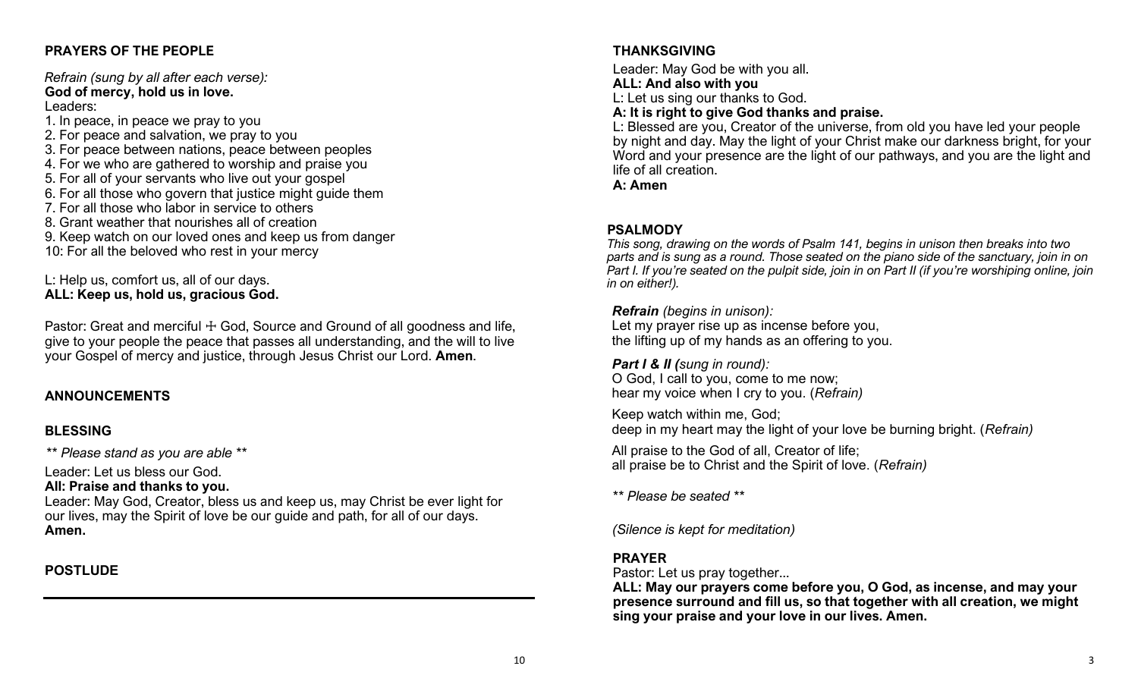#### **PRAYERS OF THE PEOPLE**

*Refrain (sung by all after each verse):* **God of mercy, hold us in love.** Leaders:

1. In peace, in peace we pray to you 2. For peace and salvation, we pray to you 3. For peace between nations, peace between peoples 4. For we who are gathered to worship and praise you 5. For all of your servants who live out your gospel 6. For all those who govern that justice might guide them 7. For all those who labor in service to others 8. Grant weather that nourishes all of creation 9. Keep watch on our loved ones and keep us from danger 10: For all the beloved who rest in your mercy

L: Help us, comfort us, all of our days. **ALL: Keep us, hold us, gracious God.**

Pastor: Great and merciful  $+$  God, Source and Ground of all goodness and life, give to your people the peace that passes all understanding, and the will to live your Gospel of mercy and justice, through Jesus Christ our Lord. **Amen**.

#### **ANNOUNCEMENTS**

#### **BLESSING**

*\*\* Please stand as you are able \*\**

Leader: Let us bless our God.

#### **All: Praise and thanks to you.**

Leader: May God, Creator, bless us and keep us, may Christ be ever light for our lives, may the Spirit of love be our guide and path, for all of our days. **Amen.**

### **POSTLUDE**

#### **THANKSGIVING**

Leader: May God be with you all. **ALL: And also with you** L: Let us sing our thanks to God.

**A: It is right to give God thanks and praise.**

L: Blessed are you, Creator of the universe, from old you have led your people by night and day. May the light of your Christ make our darkness bright, for your Word and your presence are the light of our pathways, and you are the light and life of all creation.

**A: Amen**

#### **PSALMODY**

*This song, drawing on the words of Psalm 141, begins in unison then breaks into two parts and is sung as a round. Those seated on the piano side of the sanctuary, join in on Part I. If you're seated on the pulpit side, join in on Part II (if you're worshiping online, join in on either!).*

#### *Refrain (begins in unison):*

Let my prayer rise up as incense before you, the lifting up of my hands as an offering to you.

*Part I & II (sung in round):*  O God, I call to you, come to me now; hear my voice when I cry to you. (*Refrain)*

Keep watch within me, God; deep in my heart may the light of your love be burning bright. (*Refrain)*

All praise to the God of all, Creator of life; all praise be to Christ and the Spirit of love. (*Refrain)*

*\*\* Please be seated \*\**

*(Silence is kept for meditation)*

#### **PRAYER**

Pastor: Let us pray together...

**ALL: May our prayers come before you, O God, as incense, and may your presence surround and fill us, so that together with all creation, we might sing your praise and your love in our lives. Amen.**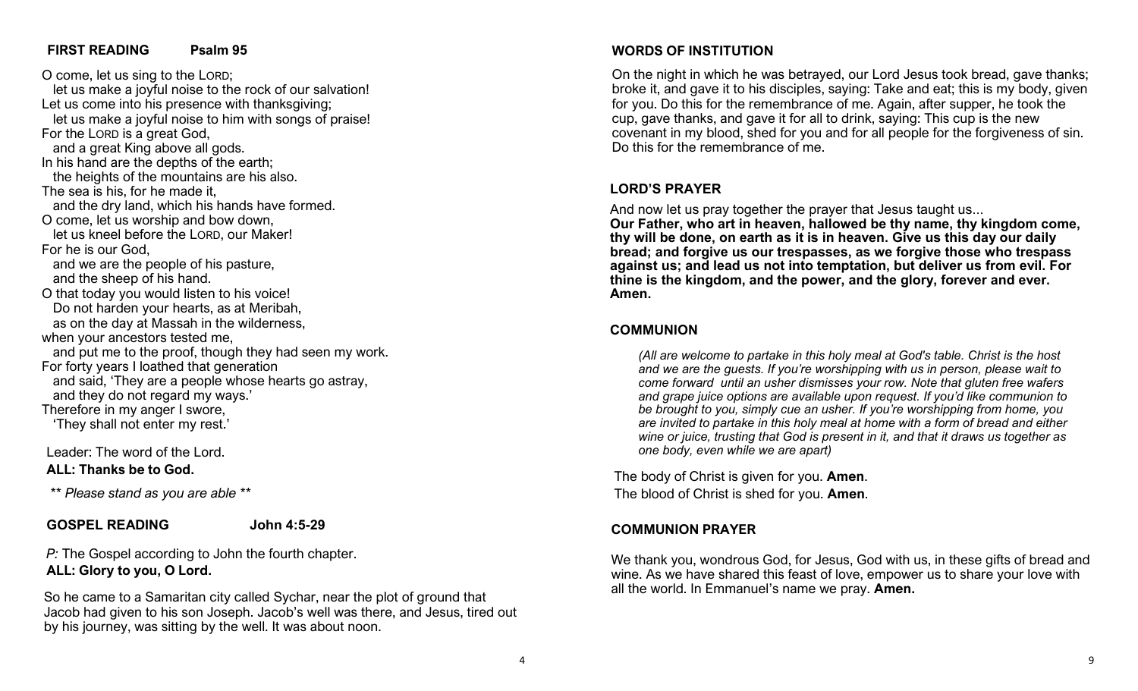#### **FIRST READING Psalm 95**

O come, let us sing to the LORD; let us make a joyful noise to the rock of our salvation! Let us come into his presence with thanksgiving; let us make a joyful noise to him with songs of praise! For the LORD is a great God, and a great King above all gods. In his hand are the depths of the earth; the heights of the mountains are his also. The sea is his, for he made it, and the dry land, which his hands have formed. O come, let us worship and bow down, let us kneel before the LORD, our Maker! For he is our God, and we are the people of his pasture, and the sheep of his hand. O that today you would listen to his voice! Do not harden your hearts, as at Meribah, as on the day at Massah in the wilderness, when your ancestors tested me, and put me to the proof, though they had seen my work. For forty years I loathed that generation and said, 'They are a people whose hearts go astray, and they do not regard my ways.' Therefore in my anger I swore, 'They shall not enter my rest.'

Leader: The word of the Lord. **ALL: Thanks be to God.**

*\*\* Please stand as you are able \*\**

#### **GOSPEL READING John 4:5-29**

*P:* The Gospel according to John the fourth chapter. **ALL: Glory to you, O Lord.**

So he came to a Samaritan city called Sychar, near the plot of ground that Jacob had given to his son Joseph. Jacob's well was there, and Jesus, tired out by his journey, was sitting by the well. It was about noon.

#### **WORDS OF INSTITUTION**

On the night in which he was betrayed, our Lord Jesus took bread, gave thanks; broke it, and gave it to his disciples, saying: Take and eat; this is my body, given for you. Do this for the remembrance of me. Again, after supper, he took the cup, gave thanks, and gave it for all to drink, saying: This cup is the new covenant in my blood, shed for you and for all people for the forgiveness of sin. Do this for the remembrance of me.

#### **LORD'S PRAYER**

And now let us pray together the prayer that Jesus taught us... **Our Father, who art in heaven, hallowed be thy name, thy kingdom come, thy will be done, on earth as it is in heaven. Give us this day our daily bread; and forgive us our trespasses, as we forgive those who trespass against us; and lead us not into temptation, but deliver us from evil. For thine is the kingdom, and the power, and the glory, forever and ever. Amen.**

#### **COMMUNION**

*(All are welcome to partake in this holy meal at God's table. Christ is the host and we are the guests. If you're worshipping with us in person, please wait to come forward until an usher dismisses your row. Note that gluten free wafers and grape juice options are available upon request. If you'd like communion to be brought to you, simply cue an usher. If you're worshipping from home, you are invited to partake in this holy meal at home with a form of bread and either wine or juice, trusting that God is present in it, and that it draws us together as one body, even while we are apart)*

The body of Christ is given for you. **Amen**. The blood of Christ is shed for you. **Amen**.

#### **COMMUNION PRAYER**

We thank you, wondrous God, for Jesus, God with us, in these gifts of bread and wine. As we have shared this feast of love, empower us to share your love with all the world. In Emmanuel's name we pray. **Amen.**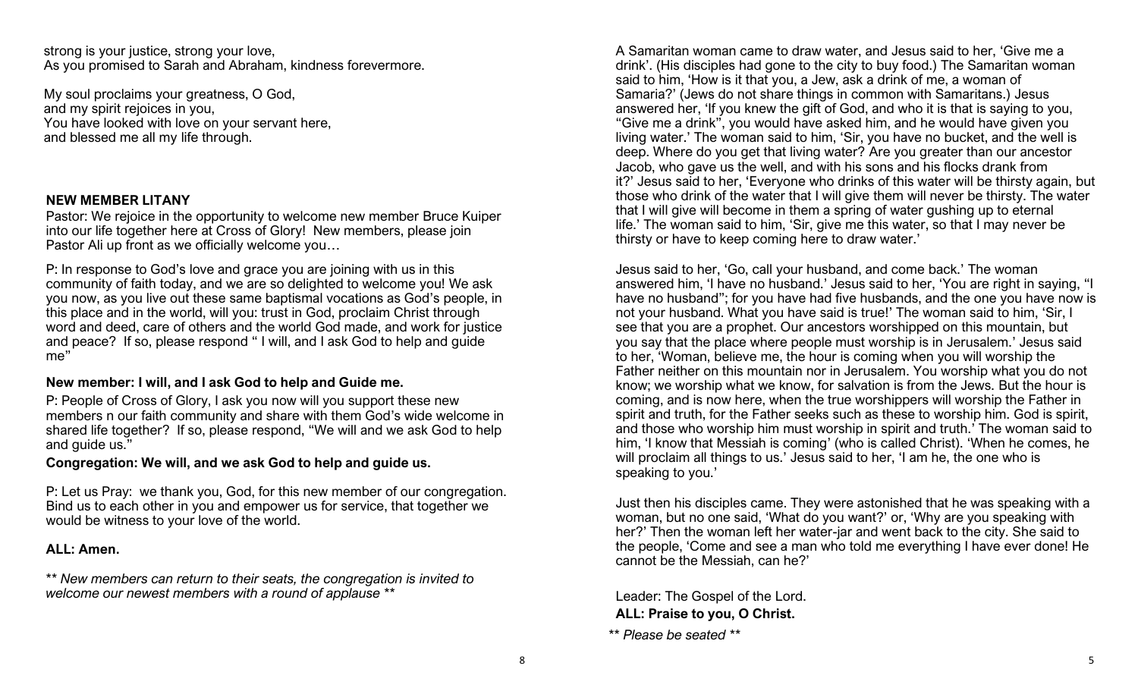strong is your justice, strong your love, As you promised to Sarah and Abraham, kindness forevermore.

My soul proclaims your greatness, O God, and my spirit rejoices in you, You have looked with love on your servant here, and blessed me all my life through.

#### **NEW MEMBER LITANY**

Pastor: We rejoice in the opportunity to welcome new member Bruce Kuiper into our life together here at Cross of Glory! New members, please join Pastor Ali up front as we officially welcome you...

P: In response to God's love and grace you are joining with us in this community of faith today, and we are so delighted to welcome you! We ask you now, as you live out these same baptismal vocations as God's people, in this place and in the world, will you: trust in God, proclaim Christ through word and deed, care of others and the world God made, and work for justice and peace? If so, please respond " I will, and I ask God to help and guide me"

#### **New member: I will, and I ask God to help and Guide me.**

P: People of Cross of Glory, I ask you now will you support these new members n our faith community and share with them God's wide welcome in shared life together? If so, please respond, "We will and we ask God to help and guide us."

#### **Congregation: We will, and we ask God to help and guide us.**

P: Let us Pray: we thank you, God, for this new member of our congregation. Bind us to each other in you and empower us for service, that together we would be witness to your love of the world.

#### **ALL: Amen.**

*\*\* New members can return to their seats, the congregation is invited to welcome our newest members with a round of applause \*\**

A Samaritan woman came to draw water, and Jesus said to her, 'Give me a drink'. (His disciples had gone to the city to buy food.) The Samaritan woman said to him, 'How is it that you, a Jew, ask a drink of me, a woman of Samaria?' (Jews do not share things in common with Samaritans.) Jesus answered her, 'If you knew the gift of God, and who it is that is saying to you, "Give me a drink", you would have asked him, and he would have given you living water.' The woman said to him, 'Sir, you have no bucket, and the well is deep. Where do you get that living water? Are you greater than our ancestor Jacob, who gave us the well, and with his sons and his flocks drank from it?' Jesus said to her, 'Everyone who drinks of this water will be thirsty again, but those who drink of the water that I will give them will never be thirsty. The water that I will give will become in them a spring of water gushing up to eternal life.' The woman said to him, 'Sir, give me this water, so that I may never be thirsty or have to keep coming here to draw water.'

Jesus said to her, 'Go, call your husband, and come back.' The woman answered him, 'I have no husband.' Jesus said to her, 'You are right in saying, "I have no husband"; for you have had five husbands, and the one you have now is not your husband. What you have said is true!' The woman said to him, 'Sir, I see that you are a prophet. Our ancestors worshipped on this mountain, but you say that the place where people must worship is in Jerusalem.' Jesus said to her, 'Woman, believe me, the hour is coming when you will worship the Father neither on this mountain nor in Jerusalem. You worship what you do not know; we worship what we know, for salvation is from the Jews. But the hour is coming, and is now here, when the true worshippers will worship the Father in spirit and truth, for the Father seeks such as these to worship him. God is spirit, and those who worship him must worship in spirit and truth.' The woman said to him, 'I know that Messiah is coming' (who is called Christ). 'When he comes, he will proclaim all things to us.' Jesus said to her, 'I am he, the one who is speaking to you.'

Just then his disciples came. They were astonished that he was speaking with a woman, but no one said, 'What do you want?' or, 'Why are you speaking with her?' Then the woman left her water-jar and went back to the city. She said to the people, 'Come and see a man who told me everything I have ever done! He cannot be the Messiah, can he?'

Leader: The Gospel of the Lord. **ALL: Praise to you, O Christ.**

*<sup>\*\*</sup> Please be seated \*\**